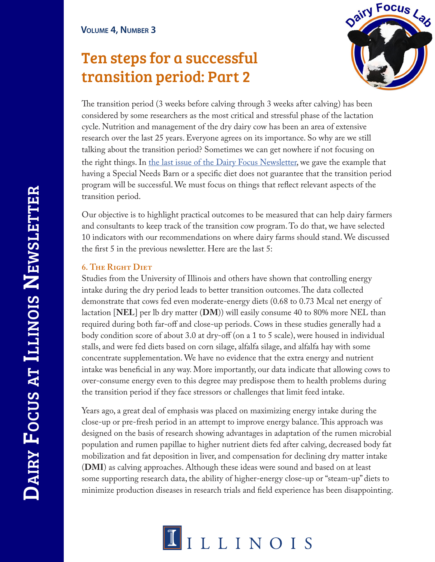# Ten steps for a successful transition period: Part 2



The transition period (3 weeks before calving through 3 weeks after calving) has been considered by some researchers as the most critical and stressful phase of the lactation cycle. Nutrition and management of the dry dairy cow has been an area of extensive research over the last 25 years. Everyone agrees on its importance. So why are we still talking about the transition period? Sometimes we can get nowhere if not focusing on the right things. In the last issue of the Dairy Focus Newsletter, we gave the example that having a Special Needs Barn or a specific diet does not guarantee that the transition period program will be successful. We must focus on things that reflect relevant aspects of the transition period.

Our objective is to highlight practical outcomes to be measured that can help dairy farmers and consultants to keep track of the transition cow program. To do that, we have selected 10 indicators with our recommendations on where dairy farms should stand. We discussed the first 5 in the previous newsletter. Here are the last 5:

## **6. The Right Diet**

Studies from the University of Illinois and others have shown that controlling energy intake during the dry period leads to better transition outcomes. The data collected demonstrate that cows fed even moderate-energy diets (0.68 to 0.73 Mcal net energy of lactation [**NEL**] per lb dry matter (**DM**)) will easily consume 40 to 80% more NEL than required during both far-off and close-up periods. Cows in these studies generally had a body condition score of about 3.0 at dry-off (on a 1 to 5 scale), were housed in individual stalls, and were fed diets based on corn silage, alfalfa silage, and alfalfa hay with some concentrate supplementation. We have no evidence that the extra energy and nutrient intake was beneficial in any way. More importantly, our data indicate that allowing cows to over-consume energy even to this degree may predispose them to health problems during the transition period if they face stressors or challenges that limit feed intake.

Years ago, a great deal of emphasis was placed on maximizing energy intake during the close-up or pre-fresh period in an attempt to improve energy balance. This approach was designed on the basis of research showing advantages in adaptation of the rumen microbial population and rumen papillae to higher nutrient diets fed after calving, decreased body fat mobilization and fat deposition in liver, and compensation for declining dry matter intake (**DMI**) as calving approaches. Although these ideas were sound and based on at least some supporting research data, the ability of higher-energy close-up or "steam-up" diets to minimize production diseases in research trials and field experience has been disappointing.

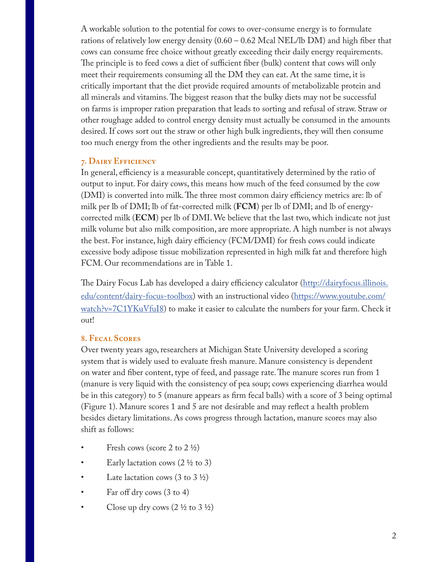A workable solution to the potential for cows to over-consume energy is to formulate rations of relatively low energy density (0.60 – 0.62 Mcal NEL/lb DM) and high fiber that cows can consume free choice without greatly exceeding their daily energy requirements. The principle is to feed cows a diet of sufficient fiber (bulk) content that cows will only meet their requirements consuming all the DM they can eat. At the same time, it is critically important that the diet provide required amounts of metabolizable protein and all minerals and vitamins. The biggest reason that the bulky diets may not be successful on farms is improper ration preparation that leads to sorting and refusal of straw. Straw or other roughage added to control energy density must actually be consumed in the amounts desired. If cows sort out the straw or other high bulk ingredients, they will then consume too much energy from the other ingredients and the results may be poor.

### **7. Dairy Efficiency**

In general, efficiency is a measurable concept, quantitatively determined by the ratio of output to input. For dairy cows, this means how much of the feed consumed by the cow (DMI) is converted into milk. The three most common dairy efficiency metrics are: lb of milk per lb of DMI; lb of fat-corrected milk (**FCM**) per lb of DMI; and lb of energycorrected milk (**ECM**) per lb of DMI. We believe that the last two, which indicate not just milk volume but also milk composition, are more appropriate. A high number is not always the best. For instance, high dairy efficiency (FCM/DMI) for fresh cows could indicate excessive body adipose tissue mobilization represented in high milk fat and therefore high FCM. Our recommendations are in Table 1.

The Dairy Focus Lab has developed a dairy efficiency calculator (http://dairyfocus.illinois. edu/content/dairy-focus-toolbox) with an instructional video (https://www.youtube.com/ watch?v=7C1YKuVfuI8) to make it easier to calculate the numbers for your farm. Check it out!

### **8. Fecal Scores**

Over twenty years ago, researchers at Michigan State University developed a scoring system that is widely used to evaluate fresh manure. Manure consistency is dependent on water and fiber content, type of feed, and passage rate. The manure scores run from 1 (manure is very liquid with the consistency of pea soup; cows experiencing diarrhea would be in this category) to 5 (manure appears as firm fecal balls) with a score of 3 being optimal (Figure 1). Manure scores 1 and 5 are not desirable and may reflect a health problem besides dietary limitations. As cows progress through lactation, manure scores may also shift as follows:

- Fresh cows (score 2 to  $2 \frac{1}{2}$ )
- Early lactation cows  $(2 \frac{1}{2})$  to 3)
- Late lactation cows  $(3 \text{ to } 3 \frac{1}{2})$
- Far off dry cows (3 to 4)
- Close up dry cows  $(2 \frac{1}{2} \text{ to } 3 \frac{1}{2})$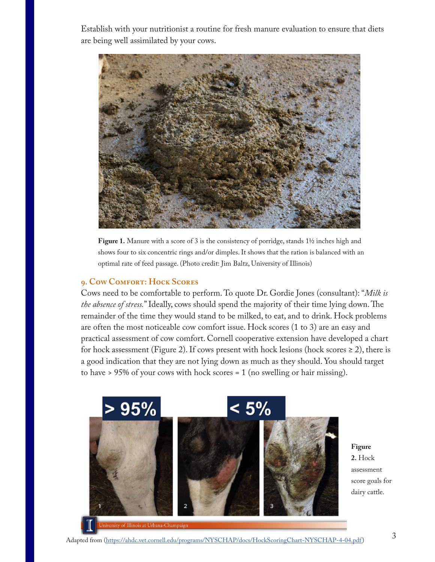Establish with your nutritionist a routine for fresh manure evaluation to ensure that diets are being well assimilated by your cows.



**Figure 1.** Manure with a score of 3 is the consistency of porridge, stands 1½ inches high and shows four to six concentric rings and/or dimples. It shows that the ration is balanced with an optimal rate of feed passage. (Photo credit: Jim Baltz, University of Illinois)

#### **9. Cow Comfort: Hock Scores**

Cows need to be comfortable to perform. To quote Dr. Gordie Jones (consultant): "*Milk is the absence of stress.*" Ideally, cows should spend the majority of their time lying down. The remainder of the time they would stand to be milked, to eat, and to drink. Hock problems are often the most noticeable cow comfort issue. Hock scores (1 to 3) are an easy and practical assessment of cow comfort. Cornell cooperative extension have developed a chart for hock assessment (Figure 2). If cows present with hock lesions (hock scores  $\geq$  2), there is a good indication that they are not lying down as much as they should. You should target to have > 95% of your cows with hock scores = 1 (no swelling or hair missing).



**Figure 2.** Hock assessment score goals for dairy cattle.